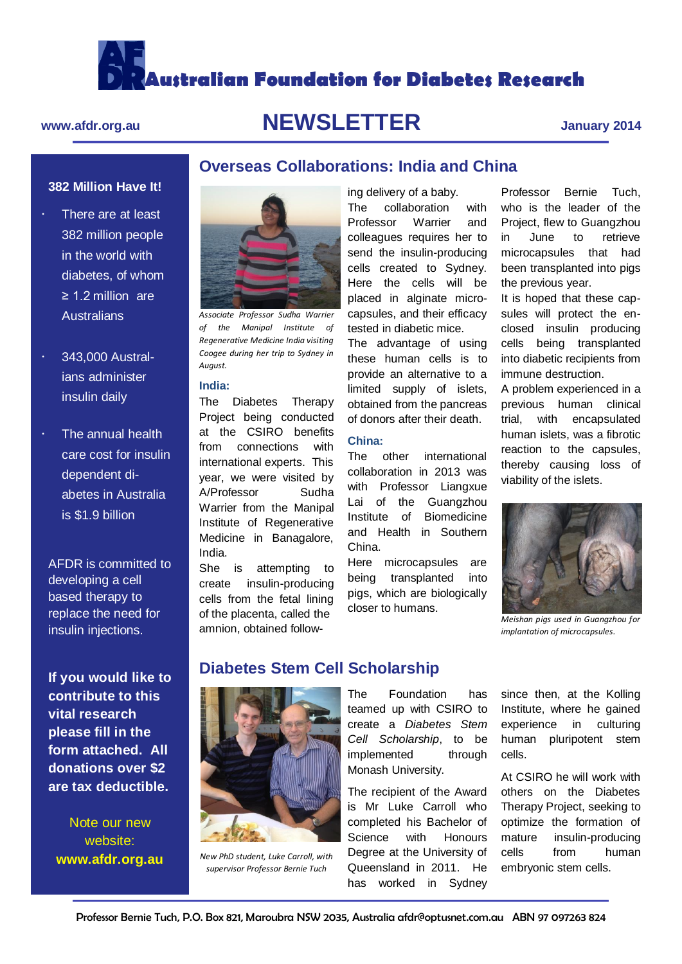**Australian Foundation for Diabetes Research**

**Overseas Collaborations: India and China**

# **www.afdr.org.au NEWSLETTER January 2014**

# **382 Million Have It!**

- There are at least 382 million people in the world with diabetes, of whom ≥ 1.2 million are **Australians**
- 343,000 Australians administer insulin daily
- The annual health care cost for insulin dependent diabetes in Australia is \$1.9 billion

AFDR is committed to developing a cell based therapy to replace the need for insulin injections.

**If you would like to contribute to this vital research please fill in the form attached. All donations over \$2 are tax deductible.**

Note our new website: **www.afdr.org.au**



*Associate Professor Sudha Warrier of the Manipal Institute of Regenerative Medicine India visiting Coogee during her trip to Sydney in August.* 

# **India:**

The Diabetes Therapy Project being conducted at the CSIRO benefits from connections with international experts. This year, we were visited by A/Professor Sudha Warrier from the Manipal Institute of Regenerative Medicine in Banagalore, India.

She is attempting to create insulin-producing cells from the fetal lining of the placenta, called the amnion, obtained following delivery of a baby. The collaboration with Professor Warrier and colleagues requires her to send the insulin-producing cells created to Sydney. Here the cells will be placed in alginate microcapsules, and their efficacy tested in diabetic mice.

The advantage of using these human cells is to provide an alternative to a limited supply of islets, obtained from the pancreas of donors after their death.

### **China:**

The other international collaboration in 2013 was with Professor Liangxue Lai of the Guangzhou Institute of Biomedicine and Health in Southern China.

Here microcapsules are being transplanted into pigs, which are biologically closer to humans.

Professor Bernie Tuch, who is the leader of the Project, flew to Guangzhou in June to retrieve microcapsules that had been transplanted into pigs the previous year.

It is hoped that these capsules will protect the enclosed insulin producing cells being transplanted into diabetic recipients from immune destruction.

A problem experienced in a previous human clinical trial, with encapsulated human islets, was a fibrotic reaction to the capsules, thereby causing loss of viability of the islets.



*Meishan pigs used in Guangzhou for implantation of microcapsules.*

# **Diabetes Stem Cell Scholarship**



*New PhD student, Luke Carroll, with supervisor Professor Bernie Tuch*

The Foundation has teamed up with CSIRO to create a *Diabetes Stem Cell Scholarship*, to be implemented through Monash University.

The recipient of the Award is Mr Luke Carroll who completed his Bachelor of Science with Honours Degree at the University of Queensland in 2011. He has worked in Sydney

since then, at the Kolling Institute, where he gained experience in culturing human pluripotent stem cells.

At CSIRO he will work with others on the Diabetes Therapy Project, seeking to optimize the formation of mature insulin-producing cells from human embryonic stem cells.